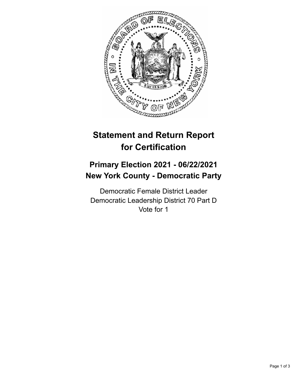

## **Statement and Return Report for Certification**

## **Primary Election 2021 - 06/22/2021 New York County - Democratic Party**

Democratic Female District Leader Democratic Leadership District 70 Part D Vote for 1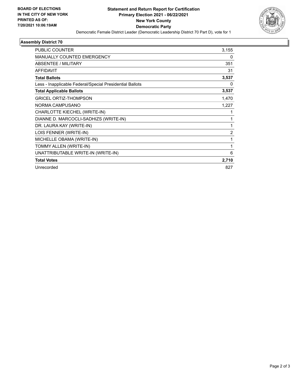

## **Assembly District 70**

| PUBLIC COUNTER                                           | 3,155          |
|----------------------------------------------------------|----------------|
| MANUALLY COUNTED EMERGENCY                               | 0              |
| <b>ABSENTEE / MILITARY</b>                               | 351            |
| <b>AFFIDAVIT</b>                                         | 31             |
| <b>Total Ballots</b>                                     | 3,537          |
| Less - Inapplicable Federal/Special Presidential Ballots | 0              |
| <b>Total Applicable Ballots</b>                          | 3,537          |
| <b>GRICEL ORTIZ-THOMPSON</b>                             | 1,470          |
| NORMA CAMPUSANO                                          | 1,227          |
| CHARLOTTE KIECHEL (WRITE-IN)                             | 1              |
| DIANNE D. MARCOCLI-SADHIZS (WRITE-IN)                    | 1              |
| DR. LAURA KAY (WRITE-IN)                                 | 1              |
| LOIS FENNER (WRITE-IN)                                   | $\overline{2}$ |
| MICHELLE OBAMA (WRITE-IN)                                | 1              |
| TOMMY ALLEN (WRITE-IN)                                   | 1              |
| UNATTRIBUTABLE WRITE-IN (WRITE-IN)                       | 6              |
| <b>Total Votes</b>                                       | 2,710          |
| Unrecorded                                               | 827            |